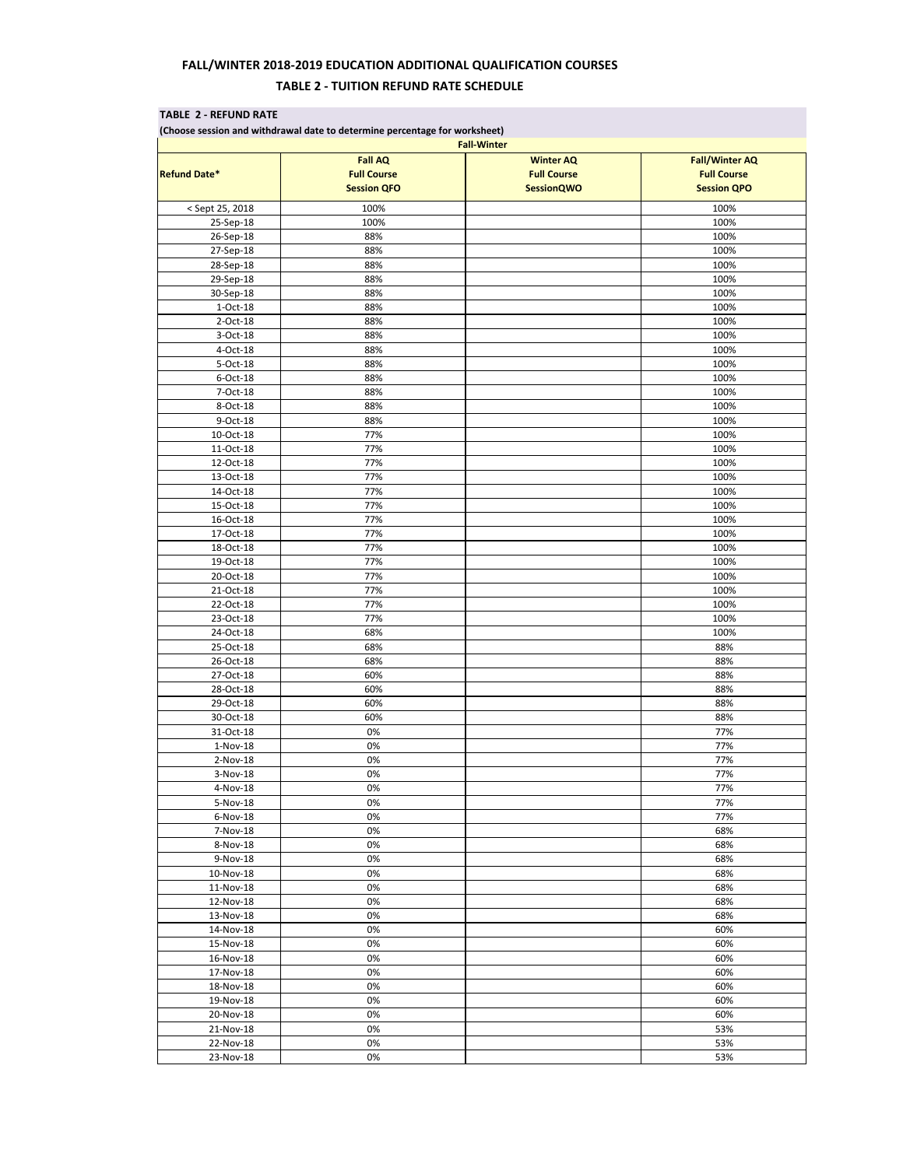## **FALL/WINTER 2018-2019 EDUCATION ADDITIONAL QUALIFICATION COURSES TABLE 2 - TUITION REFUND RATE SCHEDULE**

## **TABLE 2 - REFUND RATE (Choose session and withdrawal date to determine percentage for worksheet) Fall AQ Winter AQ Fall/Winter AQ Refund Date\* Full Course Full Course Full Course Session QFO SessionQWO Session Session Session QPO** < Sept 25, 2018 100% 100% 25-Sep-18 100% 100% 26-Sep-18 88% 100% 27-Sep-18 100% and 288% in the separate contract of the separate contract of the separate contract of the separate  $100\%$ 28-Sep-18 88% 100% 29-Sep-18 88% 100%  $30-$ Sep-18 | 300%  $30 30 30 30 30 30 30 30 30 30 30 30 30 30 30 30 30 30 30 30 30 30 30 30 30 30 30 30 30 30 30 30 30 30-$ 1-Oct-18 as a set of  $\sim$  88% in the set of  $\sim$  100% in the set of  $\sim$  100% in the set of  $\sim$  100% 2-Oct-18  $\vert$  88% 100% 100% 100% 3-Oct-18 88% 100% 4-Oct-18 | 88% 100% | 88% 100% | 88% 100% | 100% | 100% | 100% | 100% | 100% | 100% | 100% | 100% | 100% | 100 5-Oct-18 88% 100% 6-Oct-18 | 88% 100% | 88% 100% | 88% 100% | 88% 100% | 88% 100% | 88% 100% | 88% 100% | 88% 100% | 88% 100% | 7-Oct-18 | 88% 100%  $\blacksquare$ 8-Oct-18 88% 100% 9-Oct-18 | 88% 100% | 88% 100% | 88% 100% | 100% | 100% | 100% | 100% | 100% | 100% | 100% | 100% | 100% | 100 10-Oct-18 | 77%  $\qquad$  | 100%  $\qquad$ 11-Oct-18 77% 100% 12-Oct-18 100% 77% 12-Oct-18 100% 13-Oct-18 | 77% 79% | 100% | 100% | 100% | 100% | 100% | 100% | 100% | 100% | 100% | 100% | 100% | 100% | 100% 14-Oct-18 | 77% 79% | 100% | 100% | 100% | 100% | 100% | 100% | 100% | 100% | 100% | 100% | 100% | 100% | 100% 15-Oct-18 | 77% | 100% | 100% 16-Oct-18 | 77% 77% | 100% | 100% 17-Oct-18 77% 100% 18-Oct-18 | 77% 79% | 100% | 100% | 100% | 100% | 100% | 100% | 100% | 100% | 100% | 100% | 100% | 100% | 100% 19-Oct-18 | 77% 79% | 100% | 100% | 100% | 100% | 100% | 100% | 100% | 100% | 100% | 100% | 100% | 100% | 100% 20-Oct-18 | 77% 79% | 20-Oct-18 | 100% 21-Oct-18 | 77% 79% | 200% | 100% 22-Oct-18 100% 77% 100% 22-Oct-18 100% 23-Oct-18 | 77% 79% | 100% | 100% | 100% | 100% | 100% | 100% | 100% | 100% | 100% | 100% | 100% | 100% | 100% 24-Oct-18 | 68% 100% | 68% | 68% | 68% | 68% | 68% | 68% | 68% | 68% | 68% | 68% | 68% | 68% | 68% | 68% | 68% 25-Oct-18 68% 88% 26-Oct-18 68% 88% 27-Oct-18 60% 88% 28-Oct-18 60% 88% 29-Oct-18 | 88% 60% | 60% | 60% | 88% | 88% | 88% | 88% | 88% | 88% | 88% | 88% | 88% | 88% | 88% | 88% | 88%  $30$ -Oct-18 and  $50\%$  60% and  $50\%$  between  $30\%$  between  $38\%$ 31-Oct-18 0% 77% 1-Nov-18 0% 77% 2-Nov-18 0% 77% 3-Nov-18 0% 77% 4-Nov-18 0% 77% 5-Nov-18 0% 77% 6-Nov-18 0% 77% 7-Nov-18 0% 68% 8-Nov-18 0% 68% 9-Nov-18 0% 68%  $10$ -Nov- $18$  0% 68% 68% 11-Nov-18 0% 68% 12-Nov-18 0% 68% 13-Nov-18 0% 68% 14-Nov-18 0% 60% 15-Nov-18 0% 60% 16-Nov-18 0% 60% 17-Nov-18 0% 60%  $18$ -Nov-18  $18$ -Nov-18  $0\%$ 19-Nov-18 0% 60% 20-Nov-18 0% 60% 21-Nov-18 0% 53% 22-Nov-18 0% 53% **Fall-Winter**

23-Nov-18 0% 53%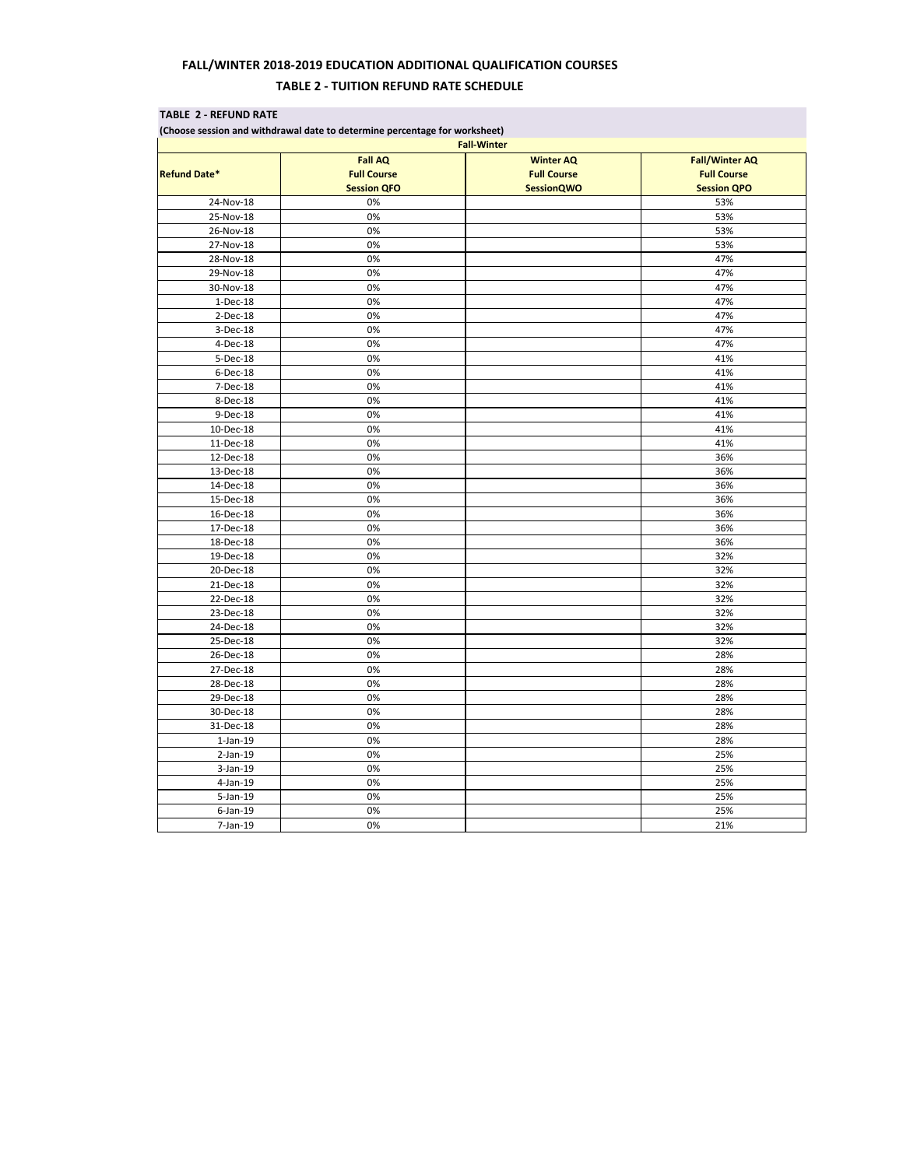## **FALL/WINTER 2018-2019 EDUCATION ADDITIONAL QUALIFICATION COURSES TABLE 2 - TUITION REFUND RATE SCHEDULE**

| (Choose session and withdrawal date to determine percentage for worksheet) |                                          |                                         |                                          |           |
|----------------------------------------------------------------------------|------------------------------------------|-----------------------------------------|------------------------------------------|-----------|
| <b>Fall-Winter</b>                                                         |                                          |                                         |                                          |           |
|                                                                            | <b>Fall AQ</b>                           | <b>Winter AQ</b>                        | <b>Fall/Winter AQ</b>                    |           |
| <b>Refund Date*</b>                                                        | <b>Full Course</b><br><b>Session QFO</b> | <b>Full Course</b><br><b>SessionQWO</b> | <b>Full Course</b><br><b>Session QPO</b> |           |
|                                                                            |                                          |                                         |                                          | 24-Nov-18 |
| 25-Nov-18                                                                  | 0%                                       |                                         | 53%                                      |           |
| 26-Nov-18                                                                  | 0%                                       |                                         | 53%                                      |           |
| 27-Nov-18                                                                  | 0%                                       |                                         | 53%                                      |           |
| 28-Nov-18                                                                  | 0%                                       |                                         | 47%                                      |           |
| 29-Nov-18                                                                  | 0%                                       |                                         | 47%                                      |           |
| 30-Nov-18                                                                  | 0%                                       |                                         | 47%                                      |           |
| 1-Dec-18                                                                   | 0%                                       |                                         | 47%                                      |           |
| 2-Dec-18                                                                   | 0%                                       |                                         | 47%                                      |           |
| 3-Dec-18                                                                   | 0%                                       |                                         | 47%                                      |           |
| 4-Dec-18                                                                   | 0%                                       |                                         | 47%                                      |           |
| 5-Dec-18                                                                   | 0%                                       |                                         | 41%                                      |           |
| 6-Dec-18                                                                   | 0%                                       |                                         | 41%                                      |           |
| 7-Dec-18                                                                   | 0%                                       |                                         | 41%                                      |           |
| 8-Dec-18                                                                   | 0%                                       |                                         | 41%                                      |           |
| 9-Dec-18                                                                   | 0%                                       |                                         | 41%                                      |           |
| 10-Dec-18                                                                  | 0%                                       |                                         | 41%                                      |           |
| 11-Dec-18                                                                  | 0%                                       |                                         | 41%                                      |           |
| 12-Dec-18                                                                  | 0%                                       |                                         | 36%                                      |           |
| 13-Dec-18                                                                  | 0%                                       |                                         | 36%                                      |           |
| 14-Dec-18                                                                  | 0%                                       |                                         | 36%                                      |           |
| 15-Dec-18                                                                  | 0%                                       |                                         | 36%                                      |           |
| 16-Dec-18                                                                  | 0%                                       |                                         | 36%                                      |           |
| 17-Dec-18                                                                  | 0%                                       |                                         | 36%                                      |           |
| 18-Dec-18                                                                  | 0%                                       |                                         | 36%                                      |           |
| 19-Dec-18                                                                  | 0%                                       |                                         | 32%                                      |           |
| 20-Dec-18                                                                  | 0%                                       |                                         | 32%                                      |           |
| 21-Dec-18                                                                  | 0%                                       |                                         | 32%                                      |           |
| 22-Dec-18                                                                  | 0%                                       |                                         | 32%                                      |           |
| 23-Dec-18                                                                  | 0%                                       |                                         | 32%                                      |           |
| 24-Dec-18                                                                  | 0%                                       |                                         | 32%                                      |           |
| 25-Dec-18                                                                  | 0%                                       |                                         | 32%                                      |           |
| 26-Dec-18                                                                  | 0%                                       |                                         | 28%                                      |           |
| 27-Dec-18                                                                  | 0%                                       |                                         | 28%                                      |           |
| 28-Dec-18                                                                  | 0%                                       |                                         | 28%                                      |           |
| 29-Dec-18                                                                  | 0%                                       |                                         | 28%                                      |           |
| 30-Dec-18                                                                  | 0%                                       |                                         | 28%                                      |           |
| 31-Dec-18                                                                  | 0%                                       |                                         | 28%                                      |           |
| $1$ -Jan- $19$                                                             | 0%                                       |                                         | 28%                                      |           |
| $2$ -Jan-19                                                                | 0%                                       |                                         | 25%                                      |           |
| 3-Jan-19                                                                   | 0%                                       |                                         | 25%                                      |           |
| 4-Jan-19                                                                   | 0%                                       |                                         | 25%                                      |           |
| 5-Jan-19                                                                   | 0%                                       |                                         | 25%                                      |           |
| $6$ -Jan-19                                                                | 0%                                       |                                         | 25%                                      |           |
| 7-Jan-19                                                                   | 0%                                       |                                         | 21%                                      |           |